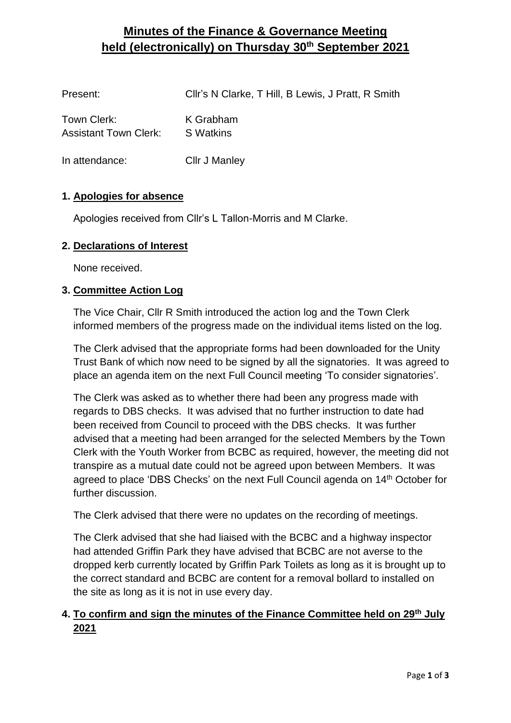# **Minutes of the Finance & Governance Meeting held (electronically) on Thursday 30th September 2021**

| Present:                                    | CIIr's N Clarke, T Hill, B Lewis, J Pratt, R Smith |
|---------------------------------------------|----------------------------------------------------|
| Town Clerk:<br><b>Assistant Town Clerk:</b> | K Grabham<br>S Watkins                             |
| In attendance:                              | <b>Cllr J Manley</b>                               |

### **1. Apologies for absence**

Apologies received from Cllr's L Tallon-Morris and M Clarke.

#### **2. Declarations of Interest**

None received.

#### **3. Committee Action Log**

The Vice Chair, Cllr R Smith introduced the action log and the Town Clerk informed members of the progress made on the individual items listed on the log.

The Clerk advised that the appropriate forms had been downloaded for the Unity Trust Bank of which now need to be signed by all the signatories. It was agreed to place an agenda item on the next Full Council meeting 'To consider signatories'.

The Clerk was asked as to whether there had been any progress made with regards to DBS checks. It was advised that no further instruction to date had been received from Council to proceed with the DBS checks. It was further advised that a meeting had been arranged for the selected Members by the Town Clerk with the Youth Worker from BCBC as required, however, the meeting did not transpire as a mutual date could not be agreed upon between Members. It was agreed to place 'DBS Checks' on the next Full Council agenda on 14<sup>th</sup> October for further discussion.

The Clerk advised that there were no updates on the recording of meetings.

The Clerk advised that she had liaised with the BCBC and a highway inspector had attended Griffin Park they have advised that BCBC are not averse to the dropped kerb currently located by Griffin Park Toilets as long as it is brought up to the correct standard and BCBC are content for a removal bollard to installed on the site as long as it is not in use every day.

## **4. To confirm and sign the minutes of the Finance Committee held on 29th July 2021**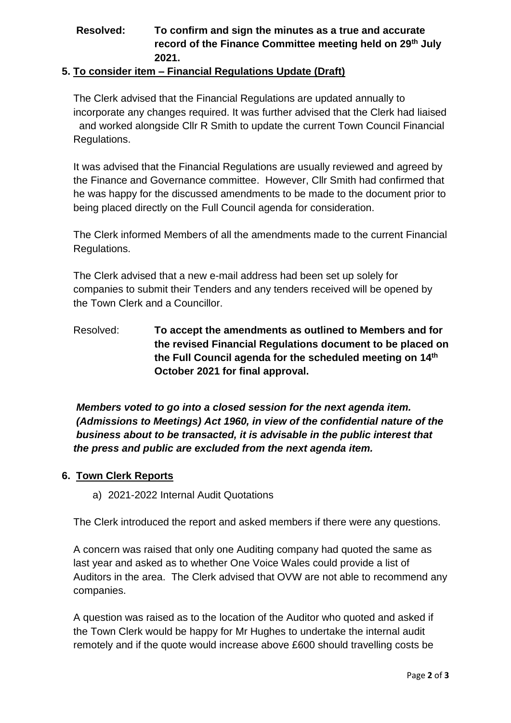# **Resolved: To confirm and sign the minutes as a true and accurate record of the Finance Committee meeting held on 29th July 2021.**

## **5. To consider item – Financial Regulations Update (Draft)**

 The Clerk advised that the Financial Regulations are updated annually to incorporate any changes required. It was further advised that the Clerk had liaised and worked alongside Cllr R Smith to update the current Town Council Financial Regulations.

It was advised that the Financial Regulations are usually reviewed and agreed by the Finance and Governance committee. However, Cllr Smith had confirmed that he was happy for the discussed amendments to be made to the document prior to being placed directly on the Full Council agenda for consideration.

The Clerk informed Members of all the amendments made to the current Financial Regulations.

The Clerk advised that a new e-mail address had been set up solely for companies to submit their Tenders and any tenders received will be opened by the Town Clerk and a Councillor.

Resolved: **To accept the amendments as outlined to Members and for the revised Financial Regulations document to be placed on the Full Council agenda for the scheduled meeting on 14th October 2021 for final approval.**

*Members voted to go into a closed session for the next agenda item. (Admissions to Meetings) Act 1960, in view of the confidential nature of the business about to be transacted, it is advisable in the public interest that the press and public are excluded from the next agenda item.* 

#### **6. Town Clerk Reports**

a) 2021-2022 Internal Audit Quotations

The Clerk introduced the report and asked members if there were any questions.

A concern was raised that only one Auditing company had quoted the same as last year and asked as to whether One Voice Wales could provide a list of Auditors in the area. The Clerk advised that OVW are not able to recommend any companies.

A question was raised as to the location of the Auditor who quoted and asked if the Town Clerk would be happy for Mr Hughes to undertake the internal audit remotely and if the quote would increase above £600 should travelling costs be